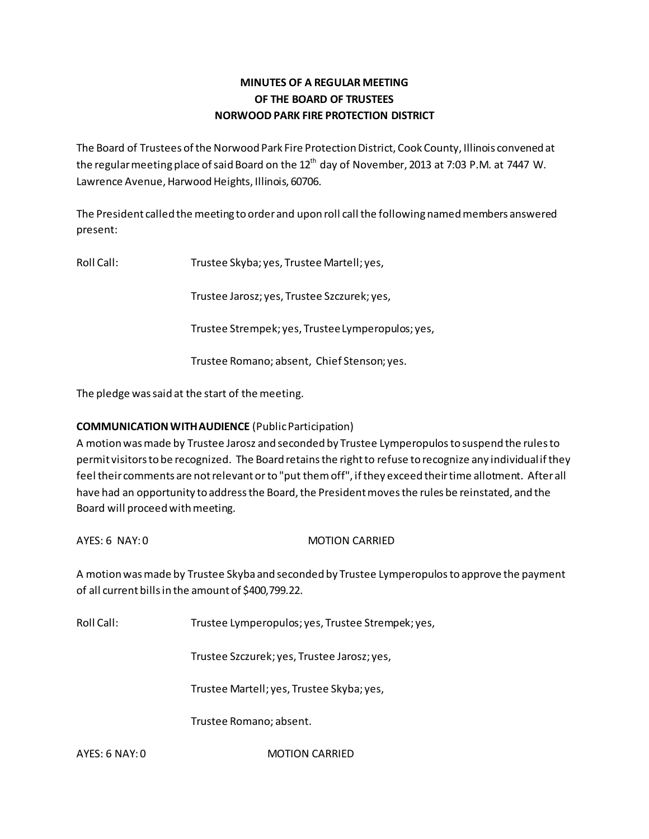# **MINUTES OF A REGULAR MEETING OF THE BOARD OF TRUSTEES NORWOOD PARK FIRE PROTECTION DISTRICT**

The Board of Trustees of the Norwood Park Fire Protection District, Cook County, Illinois convened at the regular meeting place of said Board on the  $12<sup>th</sup>$  day of November, 2013 at 7:03 P.M. at 7447 W. Lawrence Avenue, Harwood Heights, Illinois, 60706.

The President called the meeting to order and upon roll call the following named members answered present:

Roll Call: Trustee Skyba; yes, Trustee Martell; yes,

Trustee Jarosz; yes, Trustee Szczurek; yes,

Trustee Strempek; yes, Trustee Lymperopulos; yes,

Trustee Romano; absent, Chief Stenson; yes.

The pledge was said at the start of the meeting.

# **COMMUNICATION WITH AUDIENCE** (Public Participation)

A motion was made by Trustee Jarosz and seconded by Trustee Lymperopulos to suspend the rules to permit visitors to be recognized. The Board retains the right to refuse to recognize any individual if they feel their comments are not relevant or to "put them off", if they exceed their time allotment. After all have had an opportunity to address the Board, the President moves the rules be reinstated, and the Board will proceed with meeting.

AYES: 6 NAY: 0 MOTION CARRIED

A motion was made by Trustee Skyba and seconded by Trustee Lymperopulos to approve the payment of all current bills in the amount of \$400,799.22.

Roll Call: Trustee Lymperopulos; yes, Trustee Strempek; yes,

Trustee Szczurek; yes, Trustee Jarosz; yes,

Trustee Martell; yes, Trustee Skyba; yes,

Trustee Romano; absent.

AYES: 6 NAY: 0 MOTION CARRIED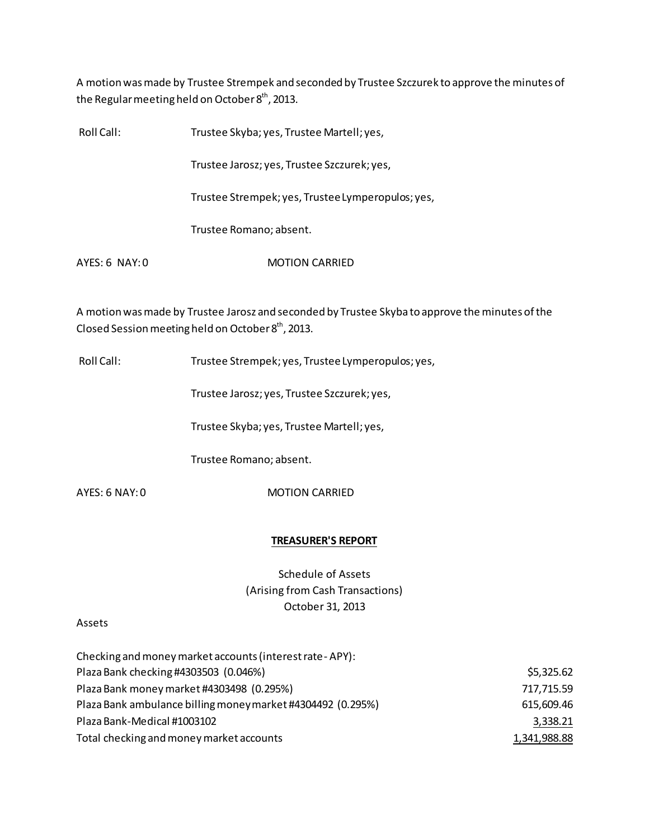A motion was made by Trustee Strempek and seconded by Trustee Szczurek to approve the minutes of the Regular meeting held on October  $8<sup>th</sup>$ , 2013.

| Roll Call:     | Trustee Skyba; yes, Trustee Martell; yes,         |
|----------------|---------------------------------------------------|
|                | Trustee Jarosz; yes, Trustee Szczurek; yes,       |
|                | Trustee Strempek; yes, Trustee Lymperopulos; yes, |
|                | Trustee Romano; absent.                           |
| AYES: 6 NAY: 0 | <b>MOTION CARRIED</b>                             |

A motion was made by Trustee Jarosz and seconded by Trustee Skyba to approve the minutes of the Closed Session meeting held on October 8<sup>th</sup>, 2013.

Roll Call: Trustee Strempek; yes, Trustee Lymperopulos; yes,

Trustee Jarosz; yes, Trustee Szczurek; yes,

Trustee Skyba; yes, Trustee Martell; yes,

Trustee Romano; absent.

AYES: 6 NAY: 0 MOTION CARRIED

### **TREASURER'S REPORT**

Schedule of Assets (Arising from Cash Transactions) October 31, 2013

### Assets

| Checking and money market accounts (interest rate - APY):   |              |
|-------------------------------------------------------------|--------------|
| Plaza Bank checking #4303503 (0.046%)                       | \$5,325.62   |
| Plaza Bank money market #4303498 (0.295%)                   | 717,715.59   |
| Plaza Bank ambulance billing money market #4304492 (0.295%) | 615,609.46   |
| Plaza Bank-Medical #1003102                                 | 3,338.21     |
| Total checking and money market accounts                    | 1,341,988.88 |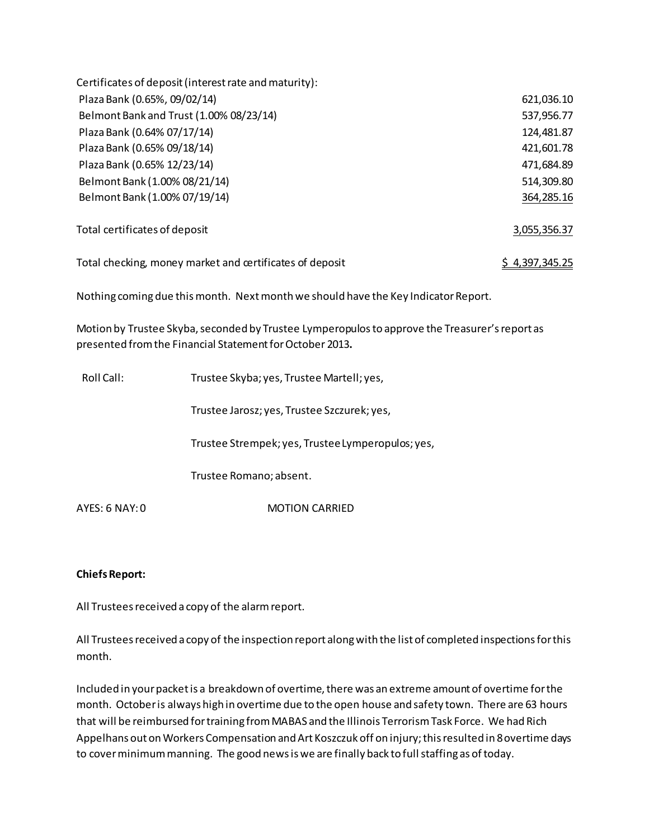| Certificates of deposit (interest rate and maturity):    |                |
|----------------------------------------------------------|----------------|
| Plaza Bank (0.65%, 09/02/14)                             | 621,036.10     |
| Belmont Bank and Trust (1.00% 08/23/14)                  | 537,956.77     |
| Plaza Bank (0.64% 07/17/14)                              | 124,481.87     |
| Plaza Bank (0.65% 09/18/14)                              | 421,601.78     |
| Plaza Bank (0.65% 12/23/14)                              | 471,684.89     |
| Belmont Bank (1.00% 08/21/14)                            | 514,309.80     |
| Belmont Bank (1.00% 07/19/14)                            | 364,285.16     |
| Total certificates of deposit                            | 3,055,356.37   |
| Total checking, money market and certificates of deposit | \$4,397,345.25 |

Nothing coming due this month. Next month we should have the Key Indicator Report.

Motion by Trustee Skyba, seconded by Trustee Lymperopulos to approve the Treasurer's report as presented from the Financial Statement for October 2013**.** 

| Roll Call:     | Trustee Skyba; yes, Trustee Martell; yes,         |
|----------------|---------------------------------------------------|
|                | Trustee Jarosz; yes, Trustee Szczurek; yes,       |
|                | Trustee Strempek; yes, Trustee Lymperopulos; yes, |
|                | Trustee Romano; absent.                           |
| AYES: 6 NAY: 0 | <b>MOTION CARRIED</b>                             |

# **Chiefs Report:**

All Trustees received a copy of the alarm report.

All Trustees received a copy of the inspection report along with the list of completed inspections for this month.

Included in your packet is a breakdown of overtime, there was an extreme amount of overtime for the month. October is always high in overtime due to the open house and safety town. There are 63 hours that will be reimbursed for training from MABAS and the Illinois Terrorism Task Force. We had Rich Appelhans out on Workers Compensation and Art Koszczuk off on injury; this resulted in 8 overtime days to cover minimum manning. The good news is we are finally back to full staffing as of today.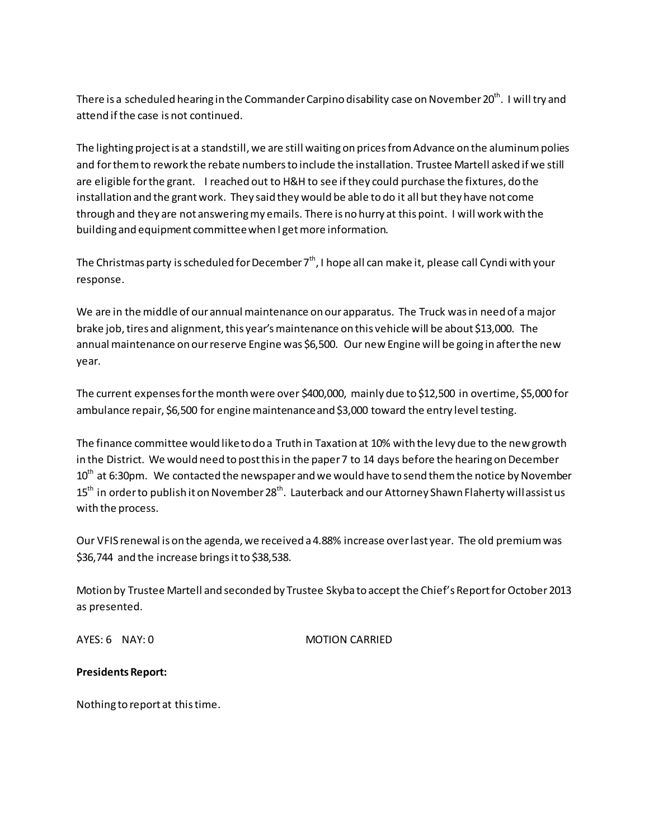There is a scheduled hearing in the Commander Carpino disability case on November 20<sup>th</sup>. I will try and attend if the case is not continued.

The lighting project is at a standstill, we are still waiting on prices from Advance on the aluminum polies and for them to rework the rebate numbers to include the installation. Trustee Martell asked if we still are eligible for the grant. I reached out to H&H to see if they could purchase the fixtures, do the installation and the grant work. They said they would be able to do it all but they have not come through and they are not answering my emails. There is no hurry at this point. I will work with the building and equipment committee when I get more information.

The Christmas party is scheduled for December  $7<sup>th</sup>$ , I hope all can make it, please call Cyndi with your response.

We are in the middle of our annual maintenance on our apparatus. The Truck was in need of a major brake job, tires and alignment, this year's maintenance on this vehicle will be about \$13,000. The annual maintenance on our reserve Engine was \$6,500. Our new Engine will be going in after the new year.

The current expenses for the month were over \$400,000, mainly due to \$12,500 in overtime, \$5,000 for ambulance repair, \$6,500 for engine maintenance and \$3,000 toward the entry level testing.

The finance committee would like to do a Truth in Taxation at 10% with the levy due to the new growth in the District. We would need to post this in the paper 7 to 14 days before the hearing on December  $10^{th}$  at 6:30pm. We contacted the newspaper and we would have to send them the notice by November  $15<sup>th</sup>$  in order to publish it on November 28<sup>th</sup>. Lauterback and our Attorney Shawn Flaherty will assist us with the process.

Our VFIS renewal is on the agenda, we received a 4.88% increase over last year. The old premium was \$36,744 and the increase brings it to \$38,538.

Motion by Trustee Martell and seconded by Trustee Skyba to accept the Chief's Report for October 2013 as presented.

AYES: 6 NAY: 0 MOTION CARRIED

# **Presidents Report:**

Nothing to report at this time.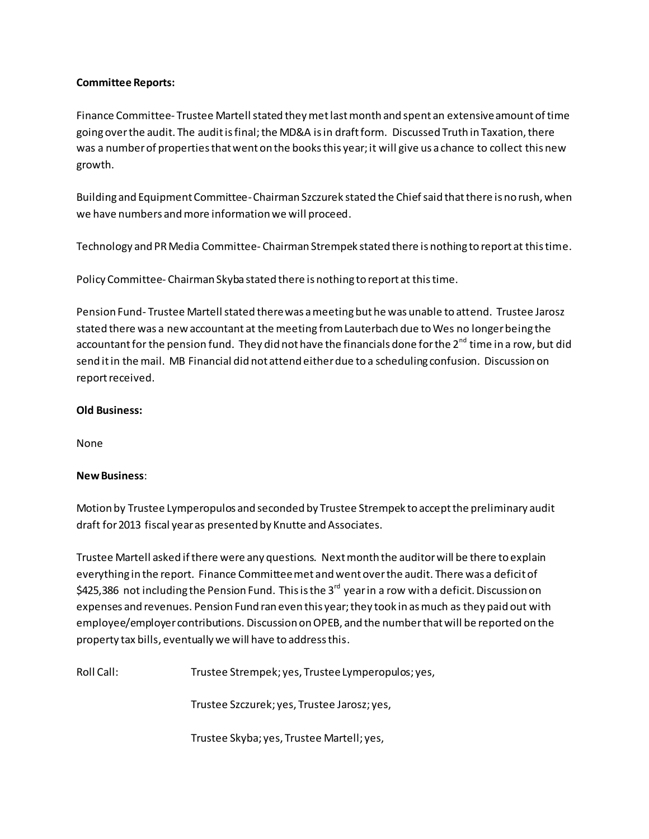### **Committee Reports:**

Finance Committee- Trustee Martell stated they met last month and spent an extensive amount of time going over the audit. The audit is final; the MD&A is in draft form. Discussed Truth in Taxation, there was a number of properties that went on the books this year; it will give us a chance to collect this new growth.

Building and Equipment Committee- Chairman Szczurek stated the Chief said that there is no rush, when we have numbers and more information we will proceed.

Technology and PR Media Committee- Chairman Strempek stated there is nothing to report at this time.

Policy Committee- Chairman Skyba stated there is nothing to report at this time.

Pension Fund- Trustee Martell stated there was a meeting but he was unable to attend. Trustee Jarosz stated there was a new accountant at the meeting from Lauterbach due to Wes no longer being the accountant for the pension fund. They did not have the financials done for the  $2^{nd}$  time in a row, but did send it in the mail. MB Financial did not attend either due to a scheduling confusion. Discussion on report received.

### **Old Business:**

None

### **New Business**:

Motion by Trustee Lymperopulos and seconded by Trustee Strempek to accept the preliminary audit draft for 2013 fiscal year as presented by Knutte and Associates.

Trustee Martell asked if there were any questions. Next month the auditor will be there to explain everything in the report. Finance Committee met and went over the audit. There was a deficit of \$425,386 not including the Pension Fund. This is the 3<sup>rd</sup> year in a row with a deficit. Discussion on expenses and revenues. Pension Fund ran even this year; they took in as much as they paid out with employee/employer contributions. Discussion on OPEB, and the number that will be reported on the property tax bills, eventually we will have to address this.

Roll Call: Trustee Strempek; yes, Trustee Lymperopulos; yes,

Trustee Szczurek; yes, Trustee Jarosz; yes,

Trustee Skyba; yes, Trustee Martell; yes,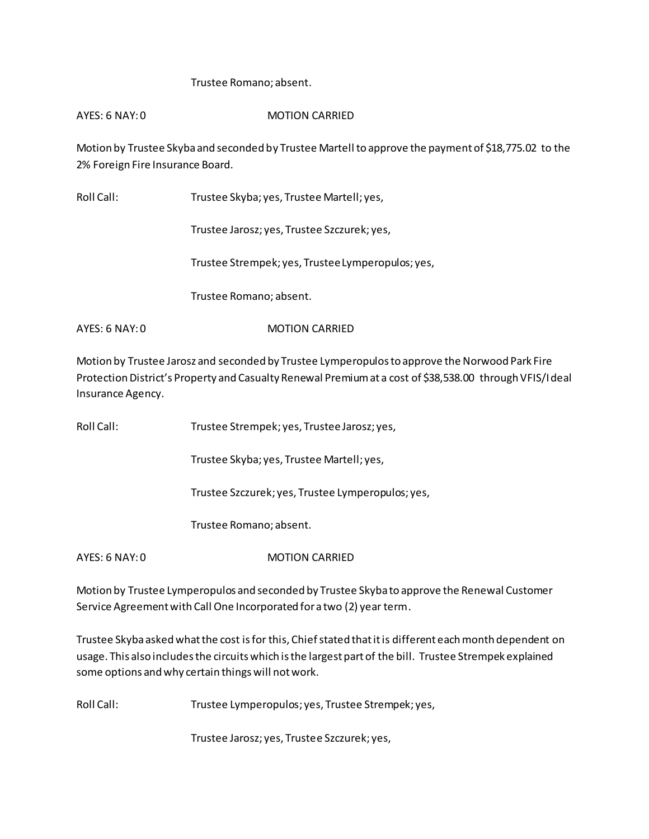### Trustee Romano; absent.

AYES: 6 NAY: 0 MOTION CARRIED

Motion by Trustee Skyba and seconded by Trustee Martell to approve the payment of \$18,775.02 to the 2% Foreign Fire Insurance Board.

Roll Call: Trustee Skyba; yes, Trustee Martell; yes,

Trustee Jarosz; yes, Trustee Szczurek; yes,

Trustee Strempek; yes, Trustee Lymperopulos; yes,

Trustee Romano; absent.

AYES: 6 NAY: 0 MOTION CARRIED

Motion by Trustee Jarosz and seconded by Trustee Lymperopulos to approve the Norwood Park Fire Protection District's Property and Casualty Renewal Premium at a cost of \$38,538.00 through VFIS/Ideal Insurance Agency.

Roll Call: Trustee Strempek; yes, Trustee Jarosz; yes,

Trustee Skyba; yes, Trustee Martell; yes,

Trustee Szczurek; yes, Trustee Lymperopulos; yes,

Trustee Romano; absent.

AYES: 6 NAY: 0 MOTION CARRIED

Motion by Trustee Lymperopulos and seconded by Trustee Skyba to approve the Renewal Customer Service Agreement with Call One Incorporated for a two (2) year term.

Trustee Skyba asked what the cost is for this, Chief stated that it is different each month dependent on usage. This also includes the circuits which is the largest part of the bill. Trustee Strempek explained some options and why certain things will not work.

Roll Call: Trustee Lymperopulos; yes, Trustee Strempek; yes,

Trustee Jarosz; yes, Trustee Szczurek; yes,